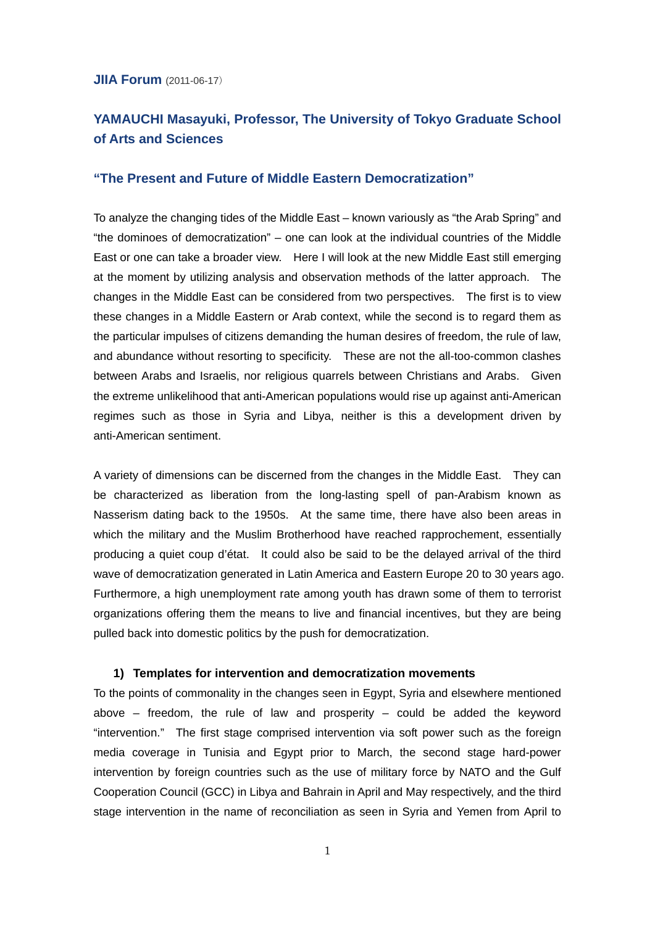### **JIIA Forum** (2011-06-17)

# **YAMAUCHI Masayuki, Professor, The University of Tokyo Graduate School of Arts and Sciences**

# **"The Present and Future of Middle Eastern Democratization"**

To analyze the changing tides of the Middle East – known variously as "the Arab Spring" and "the dominoes of democratization" – one can look at the individual countries of the Middle East or one can take a broader view. Here I will look at the new Middle East still emerging at the moment by utilizing analysis and observation methods of the latter approach. The changes in the Middle East can be considered from two perspectives. The first is to view these changes in a Middle Eastern or Arab context, while the second is to regard them as the particular impulses of citizens demanding the human desires of freedom, the rule of law, and abundance without resorting to specificity. These are not the all-too-common clashes between Arabs and Israelis, nor religious quarrels between Christians and Arabs. Given the extreme unlikelihood that anti-American populations would rise up against anti-American regimes such as those in Syria and Libya, neither is this a development driven by anti-American sentiment.

A variety of dimensions can be discerned from the changes in the Middle East. They can be characterized as liberation from the long-lasting spell of pan-Arabism known as Nasserism dating back to the 1950s. At the same time, there have also been areas in which the military and the Muslim Brotherhood have reached rapprochement, essentially producing a quiet coup d'état. It could also be said to be the delayed arrival of the third wave of democratization generated in Latin America and Eastern Europe 20 to 30 years ago. Furthermore, a high unemployment rate among youth has drawn some of them to terrorist organizations offering them the means to live and financial incentives, but they are being pulled back into domestic politics by the push for democratization.

#### **1) Templates for intervention and democratization movements**

To the points of commonality in the changes seen in Egypt, Syria and elsewhere mentioned above – freedom, the rule of law and prosperity – could be added the keyword "intervention." The first stage comprised intervention via soft power such as the foreign media coverage in Tunisia and Egypt prior to March, the second stage hard-power intervention by foreign countries such as the use of military force by NATO and the Gulf Cooperation Council (GCC) in Libya and Bahrain in April and May respectively, and the third stage intervention in the name of reconciliation as seen in Syria and Yemen from April to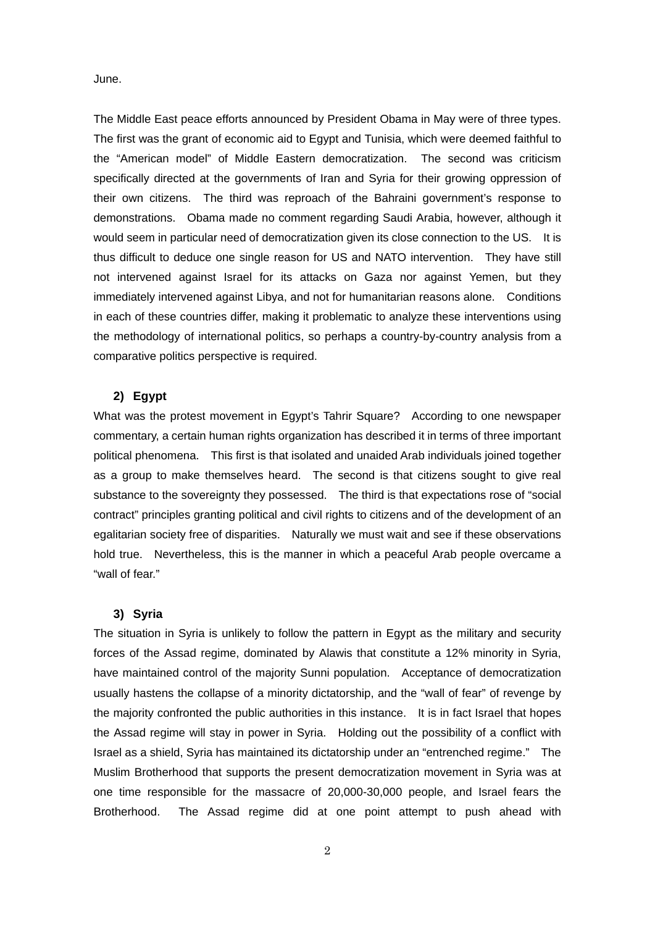June.

The Middle East peace efforts announced by President Obama in May were of three types. The first was the grant of economic aid to Egypt and Tunisia, which were deemed faithful to the "American model" of Middle Eastern democratization. The second was criticism specifically directed at the governments of Iran and Syria for their growing oppression of their own citizens. The third was reproach of the Bahraini government's response to demonstrations. Obama made no comment regarding Saudi Arabia, however, although it would seem in particular need of democratization given its close connection to the US. It is thus difficult to deduce one single reason for US and NATO intervention. They have still not intervened against Israel for its attacks on Gaza nor against Yemen, but they immediately intervened against Libya, and not for humanitarian reasons alone. Conditions in each of these countries differ, making it problematic to analyze these interventions using the methodology of international politics, so perhaps a country-by-country analysis from a comparative politics perspective is required.

# **2) Egypt**

What was the protest movement in Egypt's Tahrir Square? According to one newspaper commentary, a certain human rights organization has described it in terms of three important political phenomena. This first is that isolated and unaided Arab individuals joined together as a group to make themselves heard. The second is that citizens sought to give real substance to the sovereignty they possessed. The third is that expectations rose of "social contract" principles granting political and civil rights to citizens and of the development of an egalitarian society free of disparities. Naturally we must wait and see if these observations hold true. Nevertheless, this is the manner in which a peaceful Arab people overcame a "wall of fear."

#### **3) Syria**

The situation in Syria is unlikely to follow the pattern in Egypt as the military and security forces of the Assad regime, dominated by Alawis that constitute a 12% minority in Syria, have maintained control of the majority Sunni population. Acceptance of democratization usually hastens the collapse of a minority dictatorship, and the "wall of fear" of revenge by the majority confronted the public authorities in this instance. It is in fact Israel that hopes the Assad regime will stay in power in Syria. Holding out the possibility of a conflict with Israel as a shield, Syria has maintained its dictatorship under an "entrenched regime." The Muslim Brotherhood that supports the present democratization movement in Syria was at one time responsible for the massacre of 20,000-30,000 people, and Israel fears the Brotherhood. The Assad regime did at one point attempt to push ahead with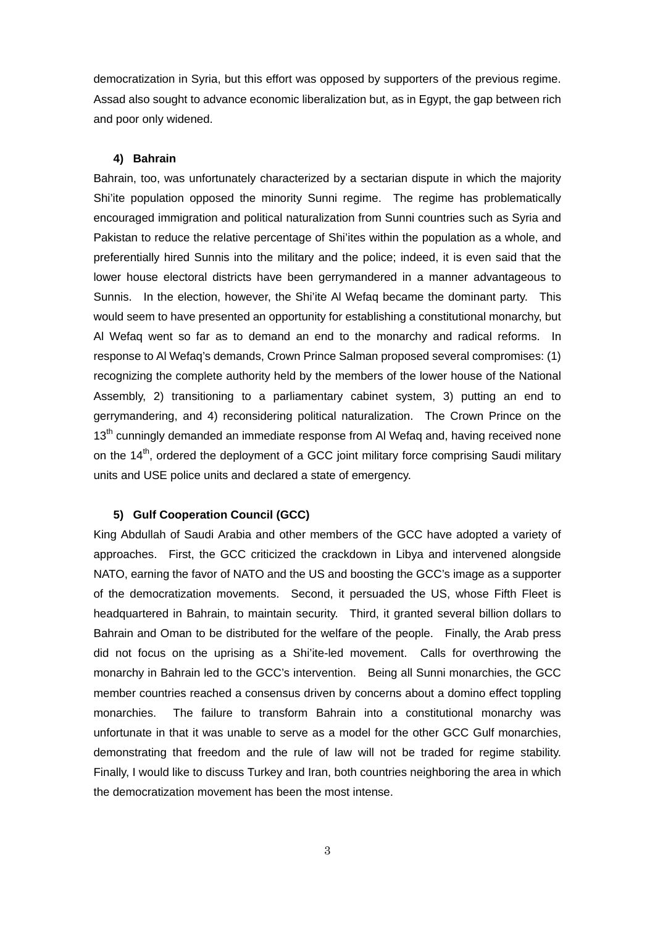democratization in Syria, but this effort was opposed by supporters of the previous regime. Assad also sought to advance economic liberalization but, as in Egypt, the gap between rich and poor only widened.

#### **4) Bahrain**

Bahrain, too, was unfortunately characterized by a sectarian dispute in which the majority Shi'ite population opposed the minority Sunni regime. The regime has problematically encouraged immigration and political naturalization from Sunni countries such as Syria and Pakistan to reduce the relative percentage of Shi'ites within the population as a whole, and preferentially hired Sunnis into the military and the police; indeed, it is even said that the lower house electoral districts have been gerrymandered in a manner advantageous to Sunnis. In the election, however, the Shi'ite Al Wefaq became the dominant party. This would seem to have presented an opportunity for establishing a constitutional monarchy, but Al Wefaq went so far as to demand an end to the monarchy and radical reforms. In response to Al Wefaq's demands, Crown Prince Salman proposed several compromises: (1) recognizing the complete authority held by the members of the lower house of the National Assembly, 2) transitioning to a parliamentary cabinet system, 3) putting an end to gerrymandering, and 4) reconsidering political naturalization. The Crown Prince on the 13<sup>th</sup> cunningly demanded an immediate response from AI Wefaq and, having received none on the  $14<sup>th</sup>$ , ordered the deployment of a GCC joint military force comprising Saudi military units and USE police units and declared a state of emergency.

#### **5) Gulf Cooperation Council (GCC)**

King Abdullah of Saudi Arabia and other members of the GCC have adopted a variety of approaches. First, the GCC criticized the crackdown in Libya and intervened alongside NATO, earning the favor of NATO and the US and boosting the GCC's image as a supporter of the democratization movements. Second, it persuaded the US, whose Fifth Fleet is headquartered in Bahrain, to maintain security. Third, it granted several billion dollars to Bahrain and Oman to be distributed for the welfare of the people. Finally, the Arab press did not focus on the uprising as a Shi'ite-led movement. Calls for overthrowing the monarchy in Bahrain led to the GCC's intervention. Being all Sunni monarchies, the GCC member countries reached a consensus driven by concerns about a domino effect toppling monarchies. The failure to transform Bahrain into a constitutional monarchy was unfortunate in that it was unable to serve as a model for the other GCC Gulf monarchies, demonstrating that freedom and the rule of law will not be traded for regime stability. Finally, I would like to discuss Turkey and Iran, both countries neighboring the area in which the democratization movement has been the most intense.